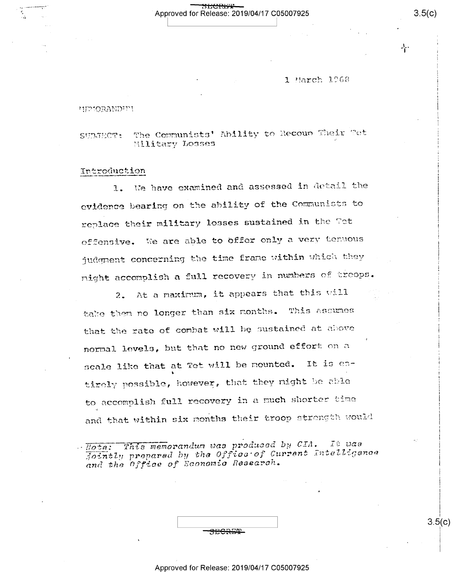## <del>SECRET</del> Approved for Release: 2019/04/17 C05007925

1 March 1968

#### **HIPIORANDIPI**

The Communists' Ability to Recoup Their Tet SUBJECT: Military Losses

#### Introduction

We have examined and assessed in detail the  $1.$ evidence bearing on the ability of the Communists to replace their military losses sustained in the Tot offensive. We are able to offer only a very tenuous judgment concerning the time frame within which they might accomplish a full recovery in numbers of troops.

At a maximum, it appears that this will  $2.$ take them no longer than six months. This assumes that the rate of combat will be sustained at above normal levels, but that no new ground effort on a scale like that at Tet will be mounted. It is entirely possible, however, that they might be able to accomplish full recovery in a much shorter time and that within six months their troop strength would

This memorandum was produced by CIA. It uas  $\therefore$  Hote: fointly propared by the Office of Current Intelligence and the office of Economic Research.

| <b>HECRET</b> |  |
|---------------|--|

 $3.5(c)$ 

∽¦∙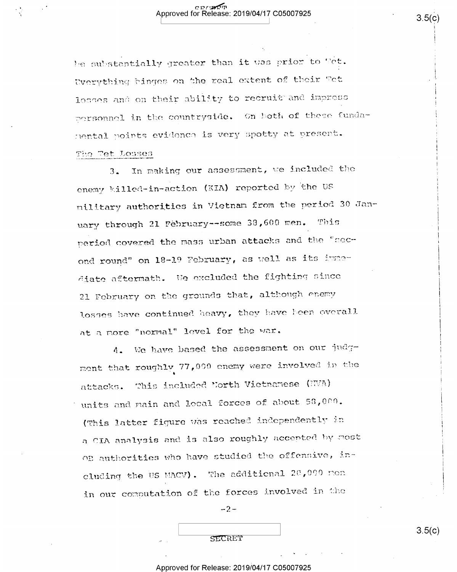be substantially greater than it was prior to Tet. Uverything binges on the real extent of their Fet losses and on their ability to recruit and impress porsonnel in the countryside. On both of these fundamental points evidence is very spotty at present. The Tet Losses

In making our assessment, we included the  $\overline{3}$ . enemy killed-in-action (KIA) reported by the US military authorities in Vietnam from the period 30 January through 21 February--some 38,600 men. This period covered the mass urban attacks and the "second round" on 18-19 February, as well as its immediate aftermath. We excluded the fighting since 21 February on the grounds that, although enemy losses have continued heavy, they have been overall at a more "normal" level for the war.

4. We have based the assessment on our judgment that roughly 77,000 enemy were involved in the attacks. This included North Vietnamese (NVA) units and main and local forces of about 58,000. (This latter figure was reached independently in a CIA analysis and is also roughly accepted by most OR authorities who have studied the offensive, including the US MACV). The additional 20,000 mon in our computation of the forces involved in the

 $-2-$ 

SECRET

Approved for Release: 2019/04/17 C05007925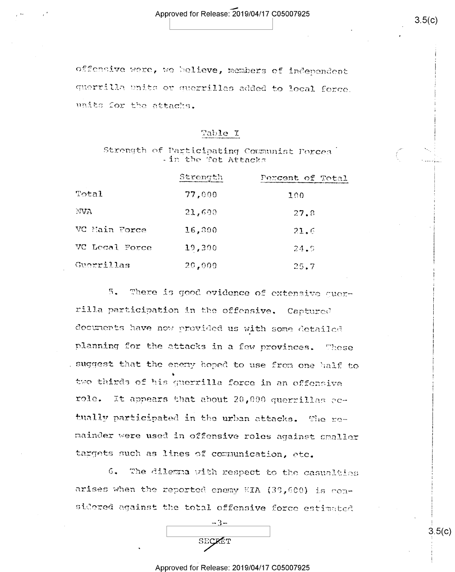offensive were, we helieve, members of independent querrilla enits or querrillas added to local force. units for the attachs.

## Table I

Strength of Participating Communist Porces - in the Tet Attacks

|                | Strength | Percent of Total |
|----------------|----------|------------------|
| Total          | 77,000   | 100              |
| NVA            | 21,600   | 27.8             |
| VC Main Force  | 16,800   | 21.6             |
| VC Local Force | 19,300   | 24.9             |
| Guerrillas     | 20,000   | 25.7             |

 $5 -$ There is good evidence of extensive querrilla participation in the offensive. Captured documents have now provided us with some detailed planning for the attacks in a few provinces. These . suggest that the enemy hoped to use from one half to two thirds of his querrilla force in an offensive role. It appears that about 20,000 querrillas ectually participated in the urban attacks. The remainder were used in offensive roles against smaller targets such as lines of communication, etc.

6. The dilemna with respect to the casualties arises when the reported enemy KIA (33,600) is considered against the total offensive force estimated

| SECKET |
|--------|
|        |

#### Approved for Release: 2019/04/17 C05007925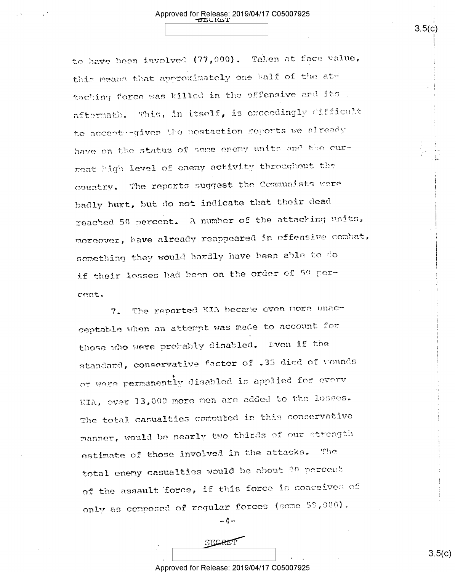# Approved for Release: 2019/04/17 C05007925

to have been involved (77,000). Taken at face value, this means that approximately one half of the attacking force was killed in the offensive and its afternath. This, in itself, is exceedingly difficult to accept--given the postaction reports we already have on the status of some enemy units and the cur-

rent high level of enemy activity throughout the country. The reports suggest the Communists were badly hurt, but do not indicate that their dead reached 50 percent. A number of the attacking units, moreover, have already reappeared in offensive combat, something they would hardly have been able to do if their losses had been on the order of 50 percent.

The reported KIA became oven nore unac- $7.$ ceptable when an attempt was made to account for those who were probably disabled. Even if the standard, conservative factor of .35 died of wounds or were permanently disabled is applied for every KIA, over 13,000 more men are added to the losses. The total casualties computed in this conservative manner, would be nearly two thirds of our strength estimate of those involved in the attacks.  $T120$ total enemy casualties would be about 90 percent of the assault force, if this force is conceived of only as composed of reqular forces (some 58,000).

 $-4-$ 

## Approved for Release: 2019/04/17 C05007925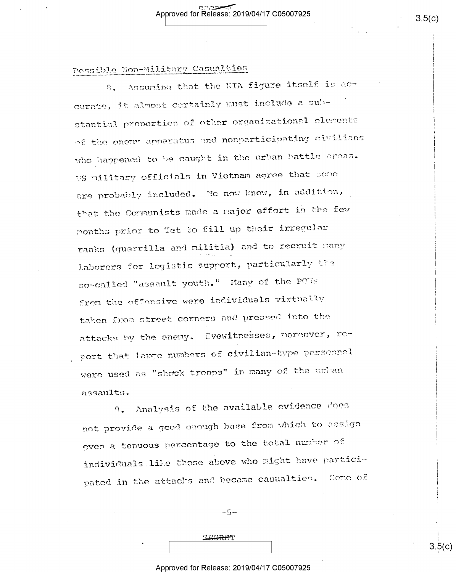# Possible Non-Military Casualties

8. Assuming that the KIA figure itself is accurate, it almost certainly must include a substantial proportion of other organizational elements of the energy apparatus and nonparticipating civilians who happened to be caught in the urban hattle areas. US military officials in Vietnam agree that some are probably included. We now know, in addition, that the Communists made a najor effort in the few months prior to Tet to fill up their irregular ranks (guerrilla and militia) and to recruit many laborers for logistic support, particularly the so-called "assault youth." Many of the POWs from the offensive were individuals virtually taken from street corners and pressed into the attacks by the enemy. Eyewitnesses, moreover, noport that large numbers of civilian-type personnel were used as "shook troops" in many of the urban assaults.

Analysis of the available evidence does  $9$ not provide a good enough base from which to assign even a tenuous percentage to the total number of individuals like those above who might have participated in the attacks and became casualties. Some of

 $-5-$ 

SECRET

## Approved for Release: 2019/04/17 C05007925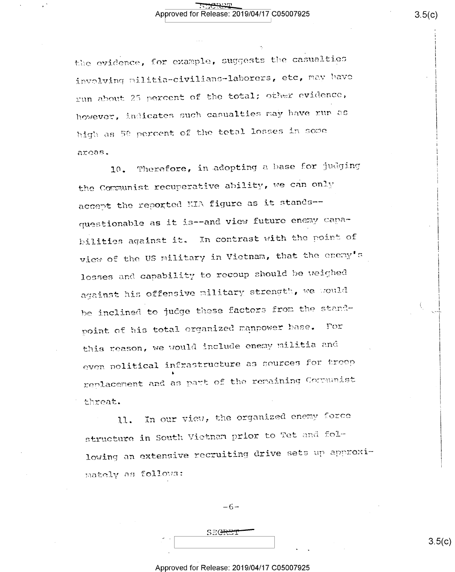the evidence, for example, suggests the casualties involving militia-civilians-laborers, etc, may have run about 25 percent of the total; other evidence, however, indicates such casualties may have run as high as 50 percent of the total losses in some arcas.

Therefore, in adopting a base for judging  $10.$ the Communist recuperative ability, we can only accept the reported KIA figure as it stands-questionable as it is--and view future enemy capabilities against it. In contrast with the point of view of the US military in Vietnam, that the enemy's losses and capability to recoup should be weighed against his offensive military strength, we would be inclined to judge these factors from the standpoint of his total organized manpower base. Tor this reason, we would include enemy militia and even political infrastructure as seurces for treep replacement and as part of the remaining Corpunist threat.

In our view, the organized enemy force 11. structure in South Vietnan prior to Tet and following an extensive recruiting drive sets up approximately as follows:

 $-6-$ 

## Approved for Release: 2019/04/17 C05007925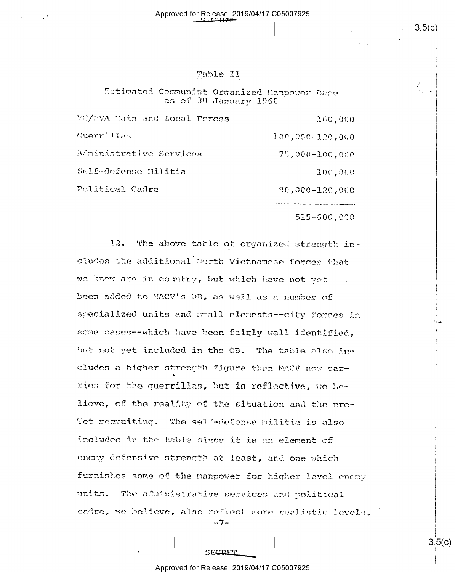## Table II

Estimated Communist Organized Manpower Bane as of 30 January 1968

| WC/NVA Main and Local Forces | 160,000             |
|------------------------------|---------------------|
| Guerrillas                   | $100,000 - 120,000$ |
| Administrative Services      | 75,000-100,000      |
| Self-defense Militia         | 100,000             |
| Political Cadre              | 80,000-120,000      |

515-600,000

 $12.$ The above table of organized strength includes the additional North Vietnamese forces that we know are in country, but which have not vet been added to MACV's OB, as well as a number of specialized units and small elements--city forces in some cases -- which have been fairly well identified. but not yet included in the OB. The table also in-. cludes a higher strength figure than MACV now carries for the guerrillas, but is reflective, we believe, of the reality of the situation and the pre-The self-defense militia is also Tet recruiting. included in the table since it is an element of enemy defensive strength at least, and one which furnishes some of the manpower for higher level enemy units. The administrative services and political cadre, we believe, also reflect more realistic levels.

-7-

SECRET

#### Approved for Release: 2019/04/17 C05007925

 $3.5(c)$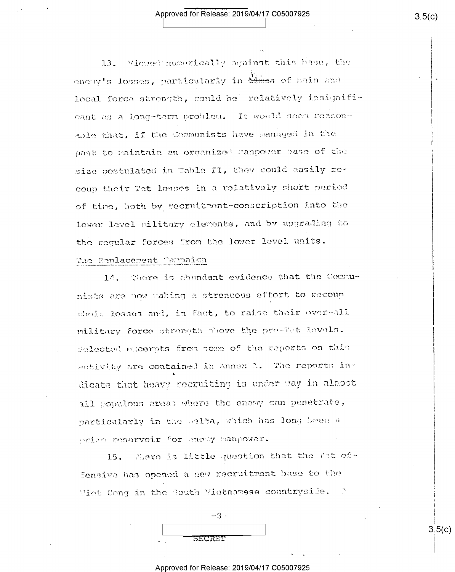## Approved for Release: 2019/04/17 C05007925

13. Wiewed numerically against this base, the enery's losses, particularly in these of main and local force strength, could be relatively insignificant as a long-term problem. It would seem reasonable that, if the Communists have managed in the past to raintain an organized hanpower base of the size postulated in Table II, they could easily recoup their Tet losses in a relatively short pariod of time, both by recruitment-conscription into the lower level military elements, and by upgrading to the regular forces from the lower level units. The Replacement Campaign

14. There is abundant evidence that the Communists are now waking a strenuous effort to recoup their losses and, in fact, to raise their over-all military force strength plove the pre-Tet levels. Selected excempts from some of the reports on this activity are contained in Annex A. The reports indicate that heavy recruiting is under way in almost all populous areas where the enemy can penetrate, particularly in the Selta, which has long been a prize reservoir for enery manpower.

15. Phere is little question that the fot offensive has opened a new recruitment base to the Viet Cong in the South Vietnamese countryside. A

|                | $-3-$ |
|----------------|-------|
|                |       |
| <b>TSECRET</b> |       |

## Approved for Release: 2019/04/17 C0500792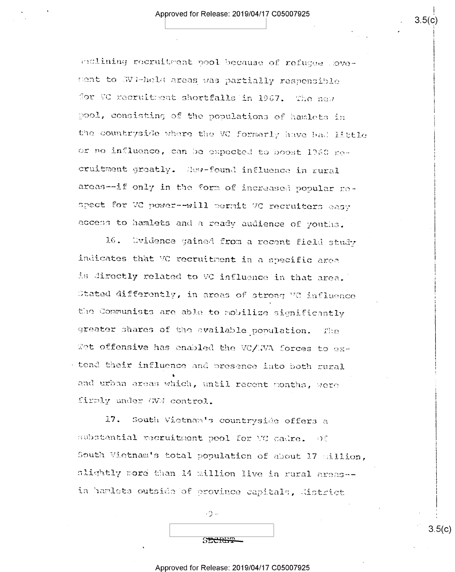inclining recruitment pool because of refugee novement to GVM-held areas was partially responsible for VC recruitment shortfalls in 1967. The new pool, consisting of the populations of hamlets in the countryside where the VC formarly have bad little or no influence, can be expected to boost 1960 necruitment groatly. Hew-found influence in rural areas--if only in the form of increased popular respect for VC power--will permit VC recruiters easy access to hamlets and a ready audience of youths.

 $16.$ Uvidence gained from a recent field study indicates that VC recruitment in a specific area is directly related to VC influence in that area. Stated differently, in areas of strong VC influence the Communists are able to mobilize significantly greater shares of the available population. - The Tet offensive has enabled the VC/WVA forces to extend their influence and presence into both rural and urban areas which, until recent months, were firmly under GVN control.

17. South Vietnam's countryside offers a substantial recruitment pool for VC cadre. Of South Vietnam's total population of about 17 million, slightly more than 14 million live in rural areas -in hamlets outside of province capitals, district

SECREP

 $\cdot$   $\circ$ 

## Approved for Release: 2019/04/17 C05007925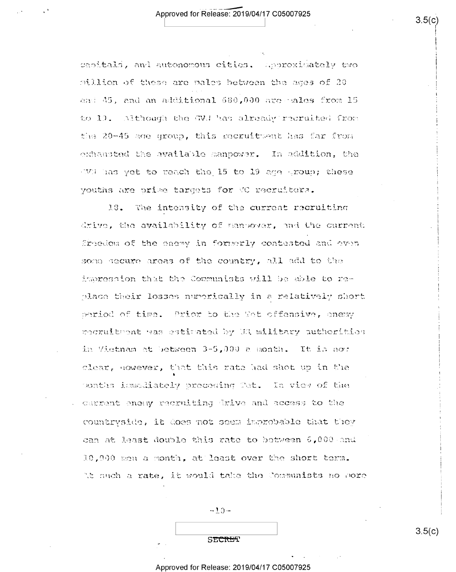capitals, and autonomous cities. Approximately two million of these are males between the ages of 20 and 45, and an additional 580,000 are males from 15 to 10. Although the GVJ has already recruited from the 20-45 age group, this recruitment has far from exhausted the available manpower. In addition, the We has yet to reach the 15 to 19 age group; these youths are orise targets for VC recruiters.

18. The intensity of the current recruiting drive, the availability of nanbover, and the current freedom of the enery in formerly contested and even some secure areas of the country, all add to the impression that the Communists will be able to replace their losses numerically in a relatively short period of time. Prior to the Wet offensive, enemy recruitment was estimated by U3 military authorities in Vietnam at between 3-5,000 a month. It is not clear, nowever, that this rate had shot up in the ponths ismediately preceding Tet. In view of the current enery recruiting drive and access to the countryside, it does not seem improbable that they can at least double this rate to between 6,000 and 10,000 mgn a month, at least over the short term. At such a rate, it would take the Communists no nore

 $-10-$ 

SECRET

 $3.5(c)$ 

#### Approved for Release: 2019/04/17 C05007925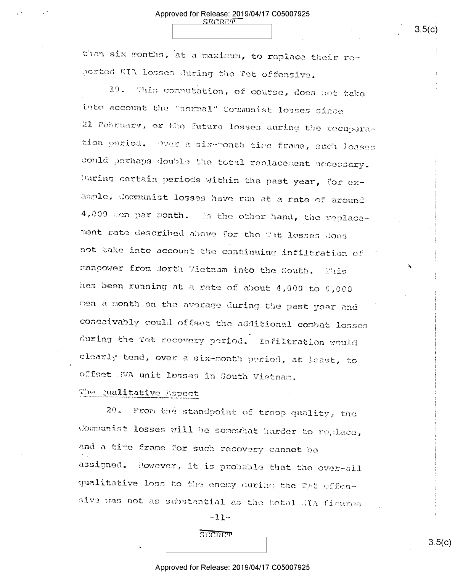than six months, at a maximum, to replace their reported KIA losses during the Tet offensive.

**SECRET** 

This computation, of course, does not take  $19$ into account the "normal" Communist losses since 21 February, or the future losses during the recuperation period. Over a six-month time frame, such loases could perhaps double the total replacement necessary. During certain periods within the past year, for example, Communist losses have run at a rate of around 4,000 men per month. On the other hand, the replacement rate described above for the Cat losses does not take into account the continuing infiltration of manoower from North Vietnam into the South.  $\mathbb{R}^n$ has been running at a rate of about 4,000 to 5,000 men a month on the average during the past year and conceivably could offset the additional combat losses during the Tet recovery period. Infiltration would clearly tend, over a six-month period, at least, to offset NVA unit losses in South Vietnam.

## The Qualitative Aspect

From the standpoint of troop quality, the  $20.$ Communist losses will be somewhat harder to replace, and a time frame for such recovery cannot be assigned. However, it is probable that the over-all qualitative loss to the enemy during the Tet offensive was not as substantial as the total XIA figures

 $-11-$ 

SECRET

## Approved for Release: 2019/04/17 C05007925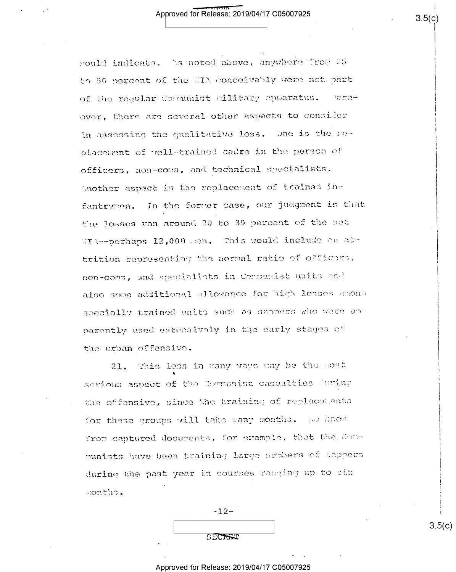would indicate. As noted above, anywhere from 25 to 50 percent of the HIA conceivably were not part of the reqular Cormunist military apparatus. - lereover, there are several other aspects to consider in assessing the qualitative loss. One is the replacement of well-trained cadre in the person of officers, non-coms, and technical specialists. Another aspect is the replacement of trained infantrymen. In the former case, our judgment is that the losses ran around 20 to 30 percent of the net KIA--perhaps 12,000 men. This would include an attrition representing the normal ratio of officers, non-come, and specialists in Communist units and also some additional allowance for high losses among specially trained units such as sappers who were upparently used extensively in the early stages of the urban offensive.

This loss in many ways may be the sost  $21.$ serious aspect of the Communist casualties during the offensive, since the training of replacements for these groups will take wany months. We hnow from captured documents, for example, that the Conmunists have been training large numbers of sappers during the past year in courses ranging up to six months.

 $-12-$ 

SECRET

Approved for Release: 2019/04/17 C05007925

 $3.5(c)$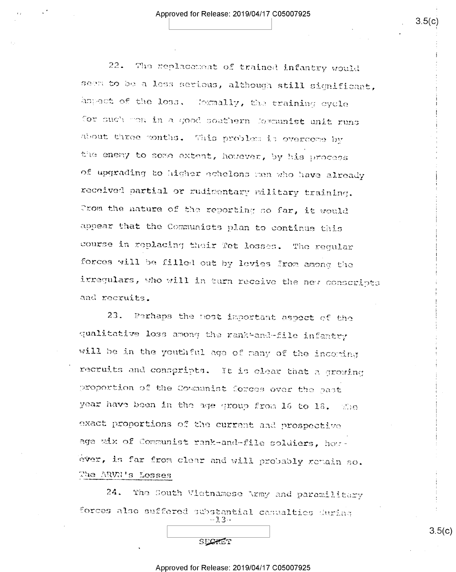22. The replacement of trained infantry would seem to be a less serious, although still significant, aspect of the loss. Cosmally, the training cycle for such went in a good southern formunist unit runs about three months. This problem is overcome by the enery to some extent, however, by his process of upgrading to higher echelons men who have already received partial or rudimentary military training. Crom the nature of the reporting so far, it would appear that the Communists plan to continue this course in replacing their fet losses. The regular forces will be filled out by levies from among the irregulars, who will in turn receive the new conscripts and recruits.

23. Perhaps the nost important aspect of the qualitative loss among the rank-and-file infantry will be in the youthful age of many of the incoming recruits and conspripts. It is clear that a growing proportion of the Communist forces over the past year have been in the age group from 16 to 18. The exact proportions of the current and prospective age wix of Communist rank-and-file soldiers, houever, is far from clear and will probably remain so. The ARVN's Losses

 $24.$ The South Vietnamese Army and paramilitary forces also suffered substantial casualties during -13-

#### Approved for Release: 2019/04/17 C05007925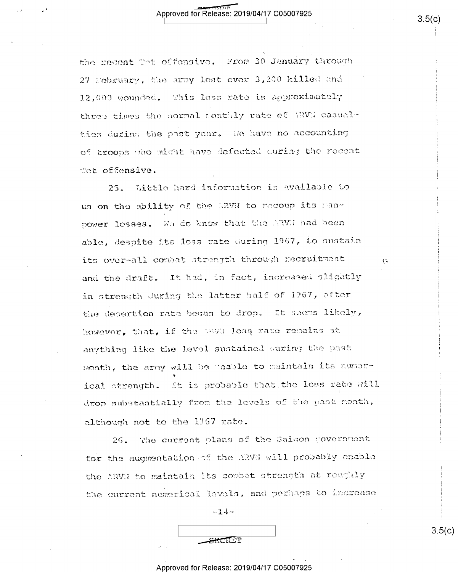the recent Tot offensive. From 30 January through 27 February, the army lost over 3,200 killed and 12,000 wounded. This loss rate is approximately three times the normal ronthly rate of NWW casualties during the past year. We have no accounting of troops who might have defected during the recent Tet offensive.

Little hard information is available to  $25.$ us on the ability of the ARVN to recoup its manpower losses. We do know that the ARVI had been able, despite its loss rate during 1967, to sustain its over-all combat strength through recruitment and the draft. It had, in fact, increased slightly in strength during the latter balf of 1967, after the desertion rate began to drop. It seems likely, however, that, if the NRVN loss rate remains at anything like the level sustained ouring the past month, the army will be unable to maintain its numerical strength. It is probable that the loss rate will drop substantially from the levels of the past nonth, although not to the 1967 rate.

The current plans of the Saigon government 26. for the augmentation of the ARVM will probably enable the ARVN to maintain its combat strength at roughly the current numerical levels, and perhaps to increase

 $-14-$ 

**SHORET** 

Approved for Release: 2019/04/17 C05007925

 $\tilde{H}$